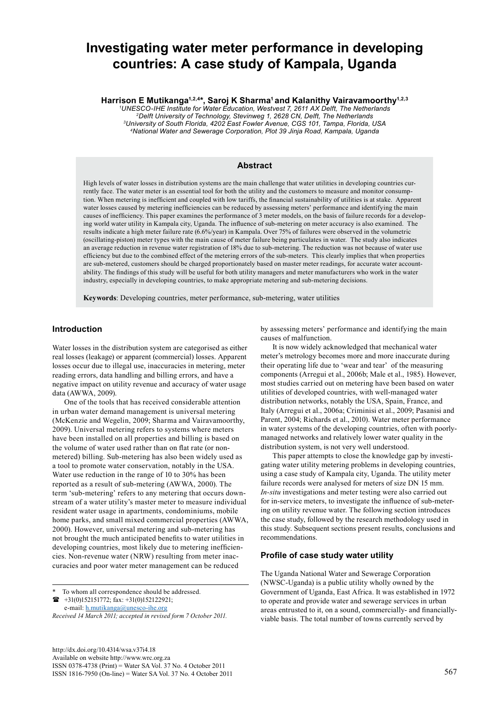# **Investigating water meter performance in developing countries: A case study of Kampala, Uganda**

# Harrison E Mutikanga<sup>1,2,4\*</sup>, Saroj K Sharma<sup>1</sup> and Kalanithy Vairavamoorthy<sup>1,2,3</sup>

<sup>1</sup>UNESCO-IHE Institute for Water Education. Westvest 7, 2611 AX Delft. The Netherlands Point Charles Containers of Technology, Stevinweg 1, 2628 CN, Delft, The Netherlands<br>University of Technology, Stevinweg 1, 2628 CN, Delft, The Netherlands<sup>3</sup><br>University of South Florida, 4202 East Fowler Avenue, CGS 101, *4National Water and Sewerage Corporation, Plot 39 Jinja Road, Kampala, Uganda*

# **Abstract**

High levels of water losses in distribution systems are the main challenge that water utilities in developing countries currently face. The water meter is an essential tool for both the utility and the customers to measure and monitor consumption. When metering is inefficient and coupled with low tariffs, the financial sustainability of utilities is at stake. Apparent water losses caused by metering inefficiencies can be reduced by assessing meters' performance and identifying the main causes of inefficiency. This paper examines the performance of 3 meter models, on the basis of failure records for a developing world water utility in Kampala city, Uganda. The influence of sub-metering on meter accuracy is also examined. The results indicate a high meter failure rate (6.6%/year) in Kampala. Over 75% of failures were observed in the volumetric (oscillating-piston) meter types with the main cause of meter failure being particulates in water. The study also indicates an average reduction in revenue water registration of 18% due to sub-metering. The reduction was not because of water use efficiency but due to the combined effect of the metering errors of the sub-meters. This clearly implies that when properties are sub-metered, customers should be charged proportionately based on master meter readings, for accurate water accountability. The findings of this study will be useful for both utility managers and meter manufacturers who work in the water industry, especially in developing countries, to make appropriate metering and sub-metering decisions.

**Keywords**: Developing countries, meter performance, sub-metering, water utilities

# **Introduction**

Water losses in the distribution system are categorised as either real losses (leakage) or apparent (commercial) losses. Apparent losses occur due to illegal use, inaccuracies in metering, meter reading errors, data handling and billing errors, and have a negative impact on utility revenue and accuracy of water usage data (AWWA, 2009).

One of the tools that has received considerable attention in urban water demand management is universal metering (McKenzie and Wegelin, 2009; Sharma and Vairavamoorthy, 2009). Universal metering refers to systems where meters have been installed on all properties and billing is based on the volume of water used rather than on flat rate (or nonmetered) billing. Sub-metering has also been widely used as a tool to promote water conservation, notably in the USA. Water use reduction in the range of 10 to 30% has been reported as a result of sub-metering (AWWA, 2000). The term 'sub-metering' refers to any metering that occurs downstream of a water utility's master meter to measure individual resident water usage in apartments, condominiums, mobile home parks, and small mixed commercial properties (AWWA, 2000). However, universal metering and sub-metering has not brought the much anticipated benefits to water utilities in developing countries, most likely due to metering inefficiencies. Non-revenue water (NRW) resulting from meter inaccuracies and poor water meter management can be reduced

To whom all correspondence should be addressed. +31(0)152151772; fax: +31(0)152122921;

e-mail: [h.mutikanga@unesco-ihe.org](mailto:h.mutikanga@unesco-ihe.org)

*Received 14 March 2011; accepted in revised form 7 October 2011.*

by assessing meters' performance and identifying the main causes of malfunction.

It is now widely acknowledged that mechanical water meter's metrology becomes more and more inaccurate during their operating life due to 'wear and tear' of the measuring components (Arregui et al., 2006b; Male et al., 1985). However, most studies carried out on metering have been based on water utilities of developed countries, with well-managed water distribution networks, notably the USA, Spain, France, and Italy (Arregui et al., 2006a; Criminisi et al., 2009; Pasanisi and Parent, 2004; Richards et al., 2010). Water meter performance in water systems of the developing countries, often with poorlymanaged networks and relatively lower water quality in the distribution system, is not very well understood.

This paper attempts to close the knowledge gap by investigating water utility metering problems in developing countries, using a case study of Kampala city, Uganda. The utility meter failure records were analysed for meters of size DN 15 mm. *In-situ* investigations and meter testing were also carried out for in-service meters, to investigate the influence of sub-metering on utility revenue water. The following section introduces the case study, followed by the research methodology used in this study. Subsequent sections present results, conclusions and recommendations.

# **Profile of case study water utility**

The Uganda National Water and Sewerage Corporation (NWSC-Uganda) is a public utility wholly owned by the Government of Uganda, East Africa. It was established in 1972 to operate and provide water and sewerage services in urban areas entrusted to it, on a sound, commercially- and financiallyviable basis. The total number of towns currently served by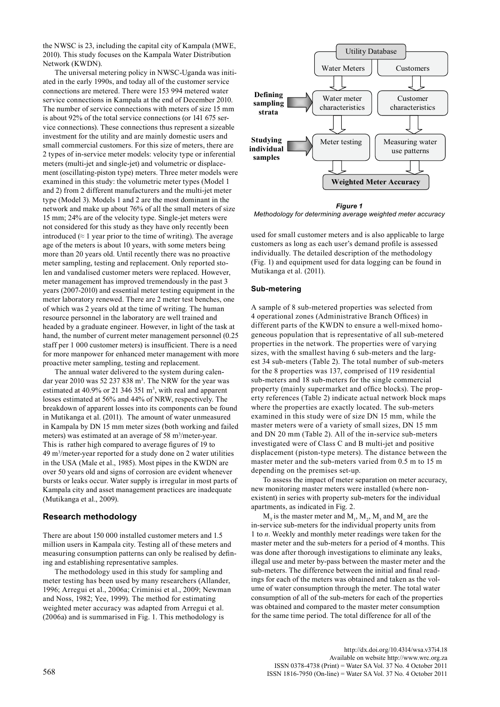the NWSC is 23, including the capital city of Kampala (MWE, 2010). This study focuses on the Kampala Water Distribution Network (KWDN).

The universal metering policy in NWSC-Uganda was initiated in the early 1990s, and today all of the customer service connections are metered. There were 153 994 metered water service connections in Kampala at the end of December 2010. The number of service connections with meters of size 15 mm is about 92% of the total service connections (or 141 675 service connections). These connections thus represent a sizeable investment for the utility and are mainly domestic users and small commercial customers. For this size of meters, there are 2 types of in-service meter models: velocity type or inferential meters (multi-jet and single-jet) and volumetric or displacement (oscillating-piston type) meters. Three meter models were examined in this study: the volumetric meter types (Model 1 and 2) from 2 different manufacturers and the multi-jet meter type (Model 3). Models 1 and 2 are the most dominant in the network and make up about 76% of all the small meters of size 15 mm; 24% are of the velocity type. Single-jet meters were not considered for this study as they have only recently been introduced ( $\approx$  1 year prior to the time of writing). The average age of the meters is about 10 years, with some meters being more than 20 years old. Until recently there was no proactive meter sampling, testing and replacement. Only reported stolen and vandalised customer meters were replaced. However, meter management has improved tremendously in the past 3 years (2007-2010) and essential meter testing equipment in the meter laboratory renewed. There are 2 meter test benches, one of which was 2 years old at the time of writing. The human resource personnel in the laboratory are well trained and headed by a graduate engineer. However, in light of the task at hand, the number of current meter management personnel (0.25 staff per 1 000 customer meters) is insufficient. There is a need for more manpower for enhanced meter management with more proactive meter sampling, testing and replacement.

The annual water delivered to the system during calendar year 2010 was 52 237 838 m<sup>3</sup>. The NRW for the year was estimated at  $40.9\%$  or 21 346 351 m<sup>3</sup>, with real and apparent losses estimated at 56% and 44% of NRW, respectively. The breakdown of apparent losses into its components can be found in Mutikanga et al. (2011). The amount of water unmeasured in Kampala by DN 15 mm meter sizes (both working and failed meters) was estimated at an average of 58 m<sup>3</sup>/meter-year. This is rather high compared to average figures of 19 to 49 m3 /meter-year reported for a study done on 2 water utilities in the USA (Male et al., 1985). Most pipes in the KWDN are over 50 years old and signs of corrosion are evident whenever bursts or leaks occur. Water supply is irregular in most parts of Kampala city and asset management practices are inadequate (Mutikanga et al., 2009).

# **Research methodology**

There are about 150 000 installed customer meters and 1.5 million users in Kampala city. Testing all of these meters and measuring consumption patterns can only be realised by defining and establishing representative samples.

The methodology used in this study for sampling and meter testing has been used by many researchers (Allander, 1996; Arregui et al., 2006a; Criminisi et al., 2009; Newman and Noss, 1982; Yee, 1999). The method for estimating weighted meter accuracy was adapted from Arregui et al. (2006a) and is summarised in Fig. 1. This methodology is



*Figure 1 Methodology for determining average weighted meter accuracy* 

used for small customer meters and is also applicable to large customers as long as each user's demand profile is assessed individually. The detailed description of the methodology (Fig. 1) and equipment used for data logging can be found in Mutikanga et al. (2011).

# **Sub-metering**

A sample of 8 sub-metered properties was selected from 4 operational zones (Administrative Branch Offices) in different parts of the KWDN to ensure a well-mixed homogeneous population that is representative of all sub-metered properties in the network. The properties were of varying sizes, with the smallest having 6 sub-meters and the largest 34 sub-meters (Table 2). The total number of sub-meters for the 8 properties was 137, comprised of 119 residential sub-meters and 18 sub-meters for the single commercial property (mainly supermarket and office blocks). The property references (Table 2) indicate actual network block maps where the properties are exactly located. The sub-meters examined in this study were of size DN 15 mm, while the master meters were of a variety of small sizes, DN 15 mm and DN 20 mm (Table 2). All of the in-service sub-meters investigated were of Class C and B multi-jet and positive displacement (piston-type meters). The distance between the master meter and the sub-meters varied from 0.5 m to 15 m depending on the premises set-up.

To assess the impact of meter separation on meter accuracy, new monitoring master meters were installed (where nonexistent) in series with property sub-meters for the individual apartments, as indicated in Fig. 2.

 $M_T$  is the master meter and  $M_1$ ,  $M_2$ ,  $M_3$  and  $M_n$  are the in-service sub-meters for the individual property units from 1 to *n*. Weekly and monthly meter readings were taken for the master meter and the sub-meters for a period of 4 months. This was done after thorough investigations to eliminate any leaks, illegal use and meter by-pass between the master meter and the sub-meters. The difference between the initial and final readings for each of the meters was obtained and taken as the volume of water consumption through the meter. The total water consumption of all of the sub-meters for each of the properties was obtained and compared to the master meter consumption for the same time period. The total difference for all of the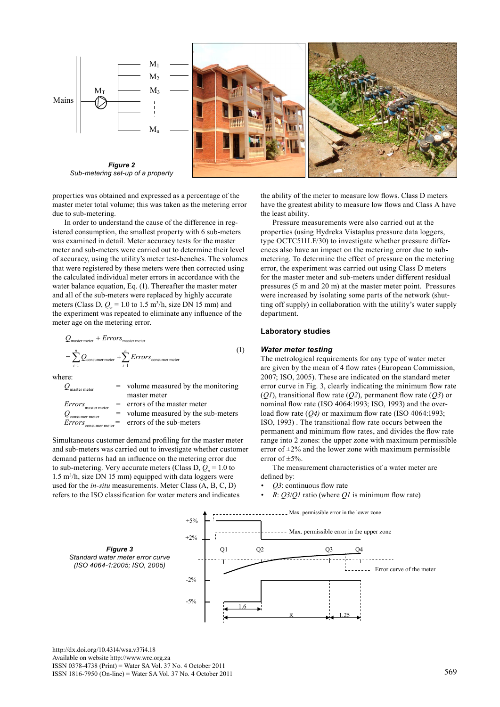

properties was obtained and expressed as a percentage of the master meter total volume; this was taken as the metering error due to sub-metering.

In order to understand the cause of the difference in registered consumption, the smallest property with 6 sub-meters was examined in detail. Meter accuracy tests for the master meter and sub-meters were carried out to determine their level of accuracy, using the utility's meter test-benches. The volumes that were registered by these meters were then corrected using the calculated individual meter errors in accordance with the water balance equation, Eq. (1). Thereafter the master meter and all of the sub-meters were replaced by highly accurate meters (Class D,  $Q_n = 1.0$  to 1.5 m<sup>3</sup>/h, size DN 15 mm) and the experiment was repeated to eliminate any influence of the meter age on the metering error.

$$
Q_{\text{master meter}} + Errors_{\text{master meter}}= \sum_{i=1}^{n} Q_{\text{consumer meter}} + \sum_{i=1}^{n} Errors_{\text{consumer meter}}
$$
(1)

where:

| $\mathcal{Q}_{\text{master meter}}$        | $=$ volume measured by the monitoring<br>master meter       |
|--------------------------------------------|-------------------------------------------------------------|
| $\mathit{Errors}_{\mathrm{master\ meter}}$ | $=$ errors of the master meter                              |
| $Q_{\text{consumer meter}}$                | $=$ volume measured by the sub-meters                       |
|                                            | $Errors_{\text{consumer meter}} =$ errors of the sub-meters |

Simultaneous customer demand profiling for the master meter and sub-meters was carried out to investigate whether customer demand patterns had an influence on the metering error due to sub-metering. Very accurate meters (Class D,  $Q_n = 1.0$  to 1.5 m3 /h, size DN 15 mm) equipped with data loggers were used for the *in-situ* measurements. Meter Class (A, B, C, D) refers to the ISO classification for water meters and indicates

the ability of the meter to measure low flows. Class D meters have the greatest ability to measure low flows and Class A have the least ability.

Pressure measurements were also carried out at the properties (using Hydreka Vistaplus pressure data loggers, type OCTC511LF/30) to investigate whether pressure differences also have an impact on the metering error due to submetering. To determine the effect of pressure on the metering error, the experiment was carried out using Class D meters for the master meter and sub-meters under different residual pressures (5 m and 20 m) at the master meter point. Pressures were increased by isolating some parts of the network (shutting off supply) in collaboration with the utility's water supply department.

# Laboratory studies

#### *Water meter testing*

The metrological requirements for any type of water meter are given by the mean of 4 flow rates (European Commission, 2007; ISO, 2005). These are indicated on the standard meter error curve in Fig. 3, clearly indicating the minimum flow rate (*Q1*), transitional flow rate (*Q2*), permanent flow rate (*Q3*) or nominal flow rate (ISO 4064:1993; ISO, 1993) and the overload flow rate (*Q4)* or maximum flow rate (ISO 4064:1993; ISO, 1993) . The transitional flow rate occurs between the permanent and minimum flow rates, and divides the flow rate range into 2 zones: the upper zone with maximum permissible error of  $\pm 2\%$  and the lower zone with maximum permissible error of  $\pm$ 5%.

The measurement characteristics of a water meter are defined by:

- *Q3*: continuous flow rate
- *R*:  $O3/O1$  ratio (where *O1* is minimum flow rate)



<http://dx.doi.org/10.4314/wsa.v37i4.18> Available on website http://www.wrc.org.za ISSN 0378-4738 (Print) = Water SA Vol. 37 No. 4 October 2011 ISSN 1816-7950 (On-line) = Water SA Vol. 37 No. 4 October 2011 569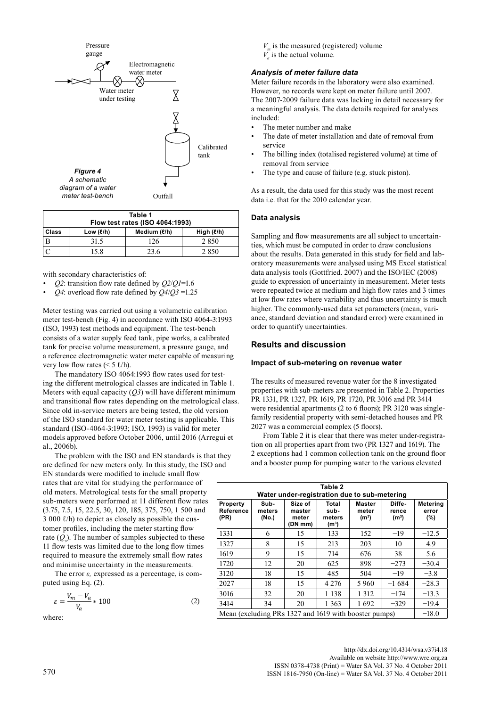

| Table 1<br>Flow test rates (ISO 4064:1993) |                |                   |                 |  |  |
|--------------------------------------------|----------------|-------------------|-----------------|--|--|
| ∣ Class                                    | Low $(\ell/h)$ | Medium $(\ell/h)$ | High $(\ell/h)$ |  |  |
| l B                                        | 31.5           | 126               | 2 8 5 0         |  |  |
|                                            | 15.8           | 23.6              | 2850            |  |  |

with secondary characteristics of:

- $Q2$ : transition flow rate defined by  $Q2/Q1=1.6$
- *Q4*: overload flow rate defined by  $Q4/Q3 = 1.25$

Meter testing was carried out using a volumetric calibration meter test-bench (Fig. 4) in accordance with ISO 4064-3:1993 (ISO, 1993) test methods and equipment. The test-bench consists of a water supply feed tank, pipe works, a calibrated tank for precise volume measurement, a pressure gauge, and a reference electromagnetic water meter capable of measuring very low flow rates ( $\leq 5 \frac{\ell}{h}$ ).

The mandatory ISO 4064:1993 flow rates used for testing the different metrological classes are indicated in Table 1. Meters with equal capacity (*Q3*) will have different minimum and transitional flow rates depending on the metrological class. Since old in-service meters are being tested, the old version of the ISO standard for water meter testing is applicable. This standard (ISO-4064-3:1993; ISO, 1993) is valid for meter models approved before October 2006, until 2016 (Arregui et al., 2006b).

The problem with the ISO and EN standards is that they are defined for new meters only. In this study, the ISO and EN standards were modified to include small flow rates that are vital for studying the performance of old meters. Metrological tests for the small property sub-meters were performed at 11 different flow rates (3.75, 7.5, 15, 22.5, 30, 120, 185, 375, 750, 1 500 and  $3000 \t l/h$ ) to depict as closely as possible the customer profiles, including the meter starting flow rate  $(Q<sub>s</sub>)$ . The number of samples subjected to these 11 flow tests was limited due to the long flow times required to measure the extremely small flow rates and minimise uncertainty in the measurements.

The error *ε,* expressed as a percentage, is computed using Eq. (2).

$$
\varepsilon = \frac{V_m - V_a}{V_a} \cdot 100\tag{2}
$$

where:

 $V<sub>m</sub>$  is the measured (registered) volume  $V_a$  is the actual volume.

#### *Analysis of meter failure data*

Meter failure records in the laboratory were also examined. However, no records were kept on meter failure until 2007. The 2007-2009 failure data was lacking in detail necessary for a meaningful analysis. The data details required for analyses included:

- The meter number and make
- The date of meter installation and date of removal from service
- The billing index (totalised registered volume) at time of removal from service
- The type and cause of failure (e.g. stuck piston).

As a result, the data used for this study was the most recent data i.e. that for the 2010 calendar year.

#### **Data analysis**

Sampling and flow measurements are all subject to uncertainties, which must be computed in order to draw conclusions about the results. Data generated in this study for field and laboratory measurements were analysed using MS Excel statistical data analysis tools (Gottfried. 2007) and the ISO/IEC (2008) guide to expression of uncertainty in measurement. Meter tests were repeated twice at medium and high flow rates and 3 times at low flow rates where variability and thus uncertainty is much higher. The commonly-used data set parameters (mean, variance, standard deviation and standard error) were examined in order to quantify uncertainties.

# **Results and discussion**

#### **Impact of sub-metering on revenue water**

The results of measured revenue water for the 8 investigated properties with sub-meters are presented in Table 2. Properties PR 1331, PR 1327, PR 1619, PR 1720, PR 3016 and PR 3414 were residential apartments (2 to 6 floors); PR 3120 was singlefamily residential property with semi-detached houses and PR 2027 was a commercial complex (5 floors).

From Table 2 it is clear that there was meter under-registration on all properties apart from two (PR 1327 and 1619). The 2 exceptions had 1 common collection tank on the ground floor and a booster pump for pumping water to the various elevated

| Table 2<br>Water under-registration due to sub-metering |                         |                                       |                                              |                                             |                                      |                          |
|---------------------------------------------------------|-------------------------|---------------------------------------|----------------------------------------------|---------------------------------------------|--------------------------------------|--------------------------|
| Property<br>Reference<br>(PR)                           | Sub-<br>meters<br>(No.) | Size of<br>master<br>meter<br>(DN mm) | Total<br>sub-<br>meters<br>(m <sup>3</sup> ) | <b>Master</b><br>meter<br>(m <sup>3</sup> ) | Diffe-<br>rence<br>(m <sup>3</sup> ) | Metering<br>error<br>(%) |
| 1331                                                    | 6                       | 15                                    | 133                                          | 152                                         | $-19$                                | $-12.5$                  |
| 1327                                                    | 8                       | 15                                    | 213                                          | 203                                         | 10                                   | 4.9                      |
| 1619                                                    | 9                       | 15                                    | 714                                          | 676                                         | 38                                   | 5.6                      |
| 1720                                                    | 12                      | 20                                    | 625                                          | 898                                         | $-273$                               | $-30.4$                  |
| 3120                                                    | 18                      | 15                                    | 485                                          | 504                                         | $-19$                                | $-3.8$                   |
| 2027                                                    | 18                      | 15                                    | 4 2 7 6                                      | 5 9 6 0                                     | $-1684$                              | $-28.3$                  |
| 3016                                                    | 32                      | 20                                    | 1 1 3 8                                      | 1 3 1 2                                     | $-174$                               | $-13.3$                  |
| 3414                                                    | 34                      | 20                                    | 1 3 6 3                                      | 1692                                        | $-329$                               | $-19.4$                  |
| Mean (excluding PRs 1327 and 1619 with booster pumps)   |                         |                                       |                                              |                                             | $-18.0$                              |                          |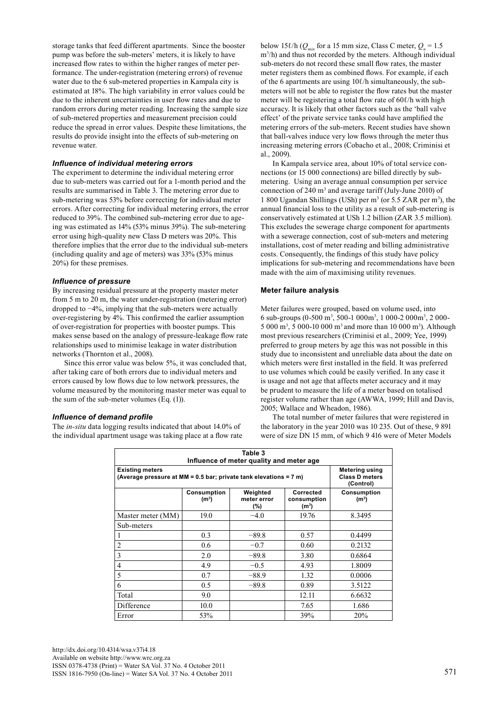storage tanks that feed different apartments. Since the booster pump was before the sub-meters' meters, it is likely to have increased flow rates to within the higher ranges of meter performance. The under-registration (metering errors) of revenue water due to the 6 sub-metered properties in Kampala city is estimated at 18%. The high variability in error values could be due to the inherent uncertainties in user flow rates and due to random errors during meter reading. Increasing the sample size of sub-metered properties and measurement precision could reduce the spread in error values. Despite these limitations, the results do provide insight into the effects of sub-metering on revenue water.

# *Influence of individual metering errors*

The experiment to determine the individual metering error due to sub-meters was carried out for a 1-month period and the results are summarised in Table 3. The metering error due to sub-metering was 53% before correcting for individual meter errors. After correcting for individual metering errors, the error reduced to 39%. The combined sub-metering error due to ageing was estimated as 14% (53% minus 39%). The sub-metering error using high-quality new Class D meters was 20%. This therefore implies that the error due to the individual sub-meters (including quality and age of meters) was 33% (53% minus 20%) for these premises.

# *Influence of pressure*

By increasing residual pressure at the property master meter from 5 m to 20 m, the water under-registration (metering error) dropped to −4%, implying that the sub-meters were actually over-registering by 4%. This confirmed the earlier assumption of over-registration for properties with booster pumps. This makes sense based on the analogy of pressure-leakage flow rate relationships used to minimise leakage in water distribution networks (Thornton et al., 2008).

Since this error value was below 5%, it was concluded that, after taking care of both errors due to individual meters and errors caused by low flows due to low network pressures, the volume measured by the monitoring master meter was equal to the sum of the sub-meter volumes (Eq. (1)).

# *Influence of demand profile*

The *in-situ* data logging results indicated that about 14.0% of the individual apartment usage was taking place at a flow rate

below 15 $\ell$ /h ( $Q_{min}$  for a 15 mm size, Class C meter,  $Q_n = 1.5$ m3 /h) and thus not recorded by the meters. Although individual sub-meters do not record these small flow rates, the master meter registers them as combined flows. For example, if each of the 6 apartments are using 10ℓ/h simultaneously, the submeters will not be able to register the flow rates but the master meter will be registering a total flow rate of 60ℓ/h with high accuracy. It is likely that other factors such as the 'ball valve effect' of the private service tanks could have amplified the metering errors of the sub-meters. Recent studies have shown that ball-valves induce very low flows through the meter thus increasing metering errors (Cobacho et al., 2008; Criminisi et al., 2009).

In Kampala service area, about 10% of total service connections (or 15 000 connections) are billed directly by submetering. Using an average annual consumption per service connection of  $240 \text{ m}^3$  and average tariff (July-June 2010) of 1 800 Ugandan Shillings (USh) per  $m<sup>3</sup>$  (or 5.5 ZAR per  $m<sup>3</sup>$ ), the annual financial loss to the utility as a result of sub-metering is conservatively estimated at USh 1.2 billion (ZAR 3.5 million). This excludes the sewerage charge component for apartments with a sewerage connection, cost of sub-meters and metering installations, cost of meter reading and billing administrative costs. Consequently, the findings of this study have policy implications for sub-metering and recommendations have been made with the aim of maximising utility revenues.

### **Meter failure analysis**

Meter failures were grouped, based on volume used, into 6 sub-groups (0-500 m<sup>3</sup>, 500-1 000m<sup>3</sup>, 1 000-2 000m<sup>3</sup>, 2 000-5 000 m<sup>3</sup>, 5 000-10 000 m<sup>3</sup> and more than 10 000 m<sup>3</sup>). Although most previous researchers (Criminisi et al., 2009; Yee, 1999) preferred to group meters by age this was not possible in this study due to inconsistent and unreliable data about the date on which meters were first installed in the field. It was preferred to use volumes which could be easily verified. In any case it is usage and not age that affects meter accuracy and it may be prudent to measure the life of a meter based on totalised register volume rather than age (AWWA, 1999; Hill and Davis, 2005; Wallace and Wheadon, 1986).

The total number of meter failures that were registered in the laboratory in the year 2010 was 10 235. Out of these, 9 891 were of size DN 15 mm, of which 9 416 were of Meter Models

| Table 3<br>Influence of meter quality and meter age                                         |                                         |                                   |                                               |                                                             |
|---------------------------------------------------------------------------------------------|-----------------------------------------|-----------------------------------|-----------------------------------------------|-------------------------------------------------------------|
| <b>Existing meters</b><br>(Average pressure at MM = 0.5 bar; private tank elevations = 7 m) |                                         |                                   |                                               | <b>Metering using</b><br><b>Class D meters</b><br>(Control) |
|                                                                                             | <b>Consumption</b><br>(m <sup>3</sup> ) | Weighted<br>meter error<br>$(\%)$ | Corrected<br>consumption<br>(m <sup>3</sup> ) | Consumption<br>(m <sup>3</sup> )                            |
| Master meter (MM)                                                                           | 19.0                                    | $-4.0$                            | 19.76                                         | 8.3495                                                      |
| Sub-meters                                                                                  |                                         |                                   |                                               |                                                             |
| 1                                                                                           | 0.3                                     | $-89.8$                           | 0.57                                          | 0.4499                                                      |
| 2                                                                                           | 0.6                                     | $-0.7$                            | 0.60                                          | 0.2132                                                      |
| 3                                                                                           | 2.0                                     | $-89.8$                           | 3.80                                          | 0.6864                                                      |
| 4                                                                                           | 4.9                                     | $-0.5$                            | 4.93                                          | 1.8009                                                      |
| 5                                                                                           | 0.7                                     | $-88.9$                           | 1.32                                          | 0.0006                                                      |
| 6                                                                                           | 0.5                                     | $-89.8$                           | 0.89                                          | 3.5122                                                      |
| Total                                                                                       | 9.0                                     |                                   | 12.11                                         | 6.6632                                                      |
| Difference                                                                                  | 10.0                                    |                                   | 7.65                                          | 1.686                                                       |
| Error                                                                                       | 53%                                     |                                   | 39%                                           | 20%                                                         |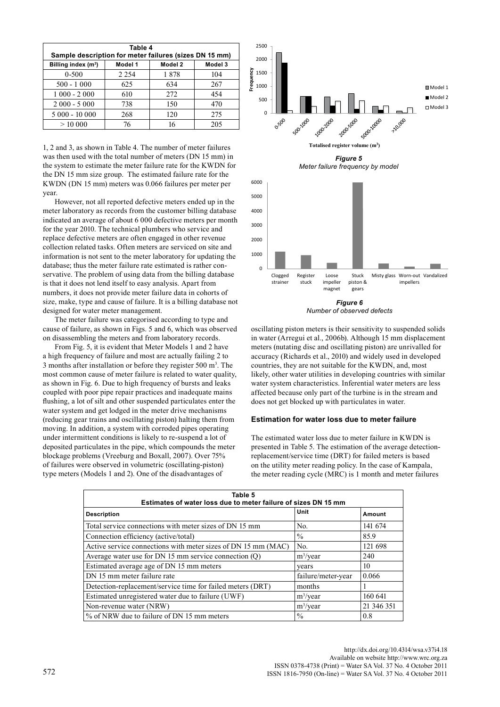| Table 4<br>Sample description for meter failures (sizes DN 15 mm) |         |         |         |  |
|-------------------------------------------------------------------|---------|---------|---------|--|
| Billing index (m <sup>3</sup> )                                   | Model 1 | Model 2 | Model 3 |  |
| $0 - 500$                                                         | 2 2 5 4 | 1878    | 104     |  |
| $500 - 1000$                                                      | 625     | 634     | 267     |  |
| $1000 - 2000$                                                     | 610     | 272     | 454     |  |
| $2000 - 5000$                                                     | 738     | 150     | 470     |  |
| $5000 - 10000$                                                    | 268     | 120     | 275     |  |
| >10000                                                            | 76      | 16      | 205     |  |

1, 2 and 3, as shown in Table 4. The number of meter failures was then used with the total number of meters (DN 15 mm) in the system to estimate the meter failure rate for the KWDN for the DN 15 mm size group. The estimated failure rate for the KWDN (DN 15 mm) meters was 0.066 failures per meter per year.

However, not all reported defective meters ended up in the meter laboratory as records from the customer billing database indicated an average of about 6 000 defective meters per month for the year 2010. The technical plumbers who service and replace defective meters are often engaged in other revenue collection related tasks. Often meters are serviced on site and information is not sent to the meter laboratory for updating the database; thus the meter failure rate estimated is rather conservative. The problem of using data from the billing database is that it does not lend itself to easy analysis. Apart from numbers, it does not provide meter failure data in cohorts of size, make, type and cause of failure. It is a billing database not designed for water meter management.

The meter failure was categorised according to type and cause of failure, as shown in Figs. 5 and 6, which was observed on disassembling the meters and from laboratory records.

From Fig. 5, it is evident that Meter Models 1 and 2 have a high frequency of failure and most are actually failing 2 to 3 months after installation or before they register 500 m<sup>3</sup>. The most common cause of meter failure is related to water quality, as shown in Fig. 6. Due to high frequency of bursts and leaks coupled with poor pipe repair practices and inadequate mains flushing, a lot of silt and other suspended particulates enter the water system and get lodged in the meter drive mechanisms (reducing gear trains and oscillating piston) halting them from moving. In addition, a system with corroded pipes operating under intermittent conditions is likely to re-suspend a lot of deposited particulates in the pipe, which compounds the meter blockage problems (Vreeburg and Boxall, 2007). Over 75% of failures were observed in volumetric (oscillating-piston) type meters (Models 1 and 2). One of the disadvantages of





oscillating piston meters is their sensitivity to suspended solids in water (Arregui et al., 2006b). Although 15 mm displacement meters (nutating disc and oscillating piston) are unrivalled for accuracy (Richards et al., 2010) and widely used in developed countries, they are not suitable for the KWDN, and, most likely, other water utilities in developing countries with similar water system characteristics. Inferential water meters are less affected because only part of the turbine is in the stream and does not get blocked up with particulates in water.

# **Estimation for water loss due to meter failure**

The estimated water loss due to meter failure in KWDN is presented in Table 5. The estimation of the average detectionreplacement/service time (DRT) for failed meters is based on the utility meter reading policy. In the case of Kampala, the meter reading cycle (MRC) is 1 month and meter failures

| Table 5<br>Estimates of water loss due to meter failure of sizes DN 15 mm |                    |            |  |  |
|---------------------------------------------------------------------------|--------------------|------------|--|--|
| <b>Description</b>                                                        | Unit               | Amount     |  |  |
| Total service connections with meter sizes of DN 15 mm                    | No.                | 141 674    |  |  |
| Connection efficiency (active/total)                                      | $\frac{0}{0}$      | 85.9       |  |  |
| Active service connections with meter sizes of DN 15 mm (MAC)             | No.                | 121 698    |  |  |
| Average water use for DN 15 mm service connection $(0)$                   | $m^3$ /year        | 240        |  |  |
| Estimated average age of DN 15 mm meters                                  | years              | 10         |  |  |
| DN 15 mm meter failure rate                                               | failure/meter-year | 0.066      |  |  |
| Detection-replacement/service time for failed meters (DRT)                | months             |            |  |  |
| Estimated unregistered water due to failure (UWF)                         | $m^3$ /year        | 160 641    |  |  |
| Non-revenue water (NRW)                                                   | $m^3$ /year        | 21 346 351 |  |  |
| % of NRW due to failure of DN 15 mm meters                                | $\frac{0}{0}$      | 0.8        |  |  |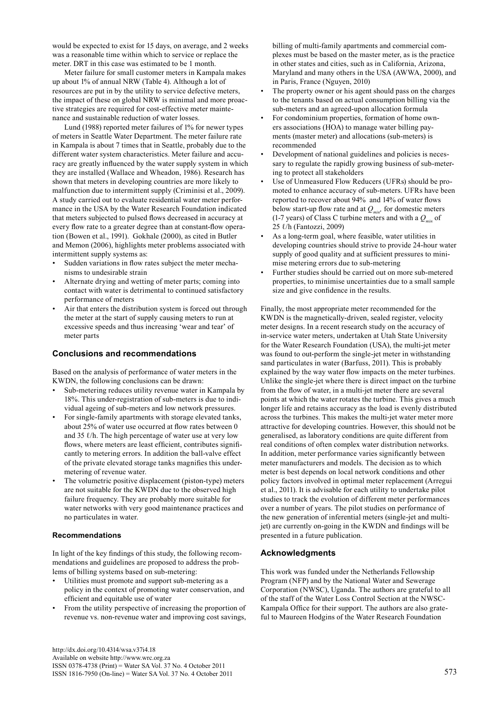would be expected to exist for 15 days, on average, and 2 weeks was a reasonable time within which to service or replace the meter. DRT in this case was estimated to be 1 month.

Meter failure for small customer meters in Kampala makes up about 1% of annual NRW (Table 4). Although a lot of resources are put in by the utility to service defective meters, the impact of these on global NRW is minimal and more proactive strategies are required for cost-effective meter maintenance and sustainable reduction of water losses.

Lund (1988) reported meter failures of 1% for newer types of meters in Seattle Water Department. The meter failure rate in Kampala is about 7 times that in Seattle, probably due to the different water system characteristics. Meter failure and accuracy are greatly influenced by the water supply system in which they are installed (Wallace and Wheadon, 1986). Research has shown that meters in developing countries are more likely to malfunction due to intermittent supply (Criminisi et al., 2009). A study carried out to evaluate residential water meter performance in the USA by the Water Research Foundation indicated that meters subjected to pulsed flows decreased in accuracy at every flow rate to a greater degree than at constant-flow operation (Bowen et al., 1991). Gokhale (2000), as cited in Butler and Memon (2006), highlights meter problems associated with intermittent supply systems as:

- Sudden variations in flow rates subject the meter mechanisms to undesirable strain
- Alternate drying and wetting of meter parts; coming into contact with water is detrimental to continued satisfactory performance of meters
- Air that enters the distribution system is forced out through the meter at the start of supply causing meters to run at excessive speeds and thus increasing 'wear and tear' of meter parts

# **Conclusions and recommendations**

Based on the analysis of performance of water meters in the KWDN, the following conclusions can be drawn:

- Sub-metering reduces utility revenue water in Kampala by 18%. This under-registration of sub-meters is due to individual ageing of sub-meters and low network pressures.
- For single-family apartments with storage elevated tanks, about 25% of water use occurred at flow rates between 0 and 35  $\ell$ /h. The high percentage of water use at very low flows, where meters are least efficient, contributes significantly to metering errors. In addition the ball-valve effect of the private elevated storage tanks magnifies this undermetering of revenue water.
- The volumetric positive displacement (piston-type) meters are not suitable for the KWDN due to the observed high failure frequency. They are probably more suitable for water networks with very good maintenance practices and no particulates in water.

# **Recommendations**

In light of the key findings of this study, the following recommendations and guidelines are proposed to address the problems of billing systems based on sub-metering:

- Utilities must promote and support sub-metering as a policy in the context of promoting water conservation, and efficient and equitable use of water
- From the utility perspective of increasing the proportion of revenue vs. non-revenue water and improving cost savings,

<http://dx.doi.org/10.4314/wsa.v37i4.18> Available on website http://www.wrc.org.za ISSN 0378-4738 (Print) = Water SA Vol. 37 No. 4 October 2011 ISSN 1816-7950 (On-line) = Water SA Vol. 37 No. 4 October 2011 573

billing of multi-family apartments and commercial complexes must be based on the master meter, as is the practice in other states and cities, such as in California, Arizona, Maryland and many others in the USA (AWWA, 2000), and in Paris, France (Nguyen, 2010)

- The property owner or his agent should pass on the charges to the tenants based on actual consumption billing via the sub-meters and an agreed-upon allocation formula
- For condominium properties, formation of home owners associations (HOA) to manage water billing payments (master meter) and allocations (sub-meters) is recommended
- Development of national guidelines and policies is necessary to regulate the rapidly growing business of sub-metering to protect all stakeholders
- Use of Unmeasured Flow Reducers (UFRs) should be promoted to enhance accuracy of sub-meters. UFRs have been reported to recover about 94% and 14% of water flows below start-up flow rate and at  $Q_{min}$ , for domestic meters (1-7 years) of Class C turbine meters and with a  $Q_{\text{max}}$  of 25 ℓ/h (Fantozzi, 2009)
- As a long-term goal, where feasible, water utilities in developing countries should strive to provide 24-hour water supply of good quality and at sufficient pressures to minimise metering errors due to sub-metering
- Further studies should be carried out on more sub-metered properties, to minimise uncertainties due to a small sample size and give confidence in the results.

Finally, the most appropriate meter recommended for the KWDN is the magnetically-driven, sealed register, velocity meter designs. In a recent research study on the accuracy of in-service water meters, undertaken at Utah State University for the Water Research Foundation (USA), the multi-jet meter was found to out-perform the single-jet meter in withstanding sand particulates in water (Barfuss, 2011). This is probably explained by the way water flow impacts on the meter turbines. Unlike the single-jet where there is direct impact on the turbine from the flow of water, in a multi-jet meter there are several points at which the water rotates the turbine. This gives a much longer life and retains accuracy as the load is evenly distributed across the turbines. This makes the multi-jet water meter more attractive for developing countries. However, this should not be generalised, as laboratory conditions are quite different from real conditions of often complex water distribution networks. In addition, meter performance varies significantly between meter manufacturers and models. The decision as to which meter is best depends on local network conditions and other policy factors involved in optimal meter replacement (Arregui et al., 2011). It is advisable for each utility to undertake pilot studies to track the evolution of different meter performances over a number of years. The pilot studies on performance of the new generation of inferential meters (single-jet and multijet) are currently on-going in the KWDN and findings will be presented in a future publication.

# **Acknowledgments**

This work was funded under the Netherlands Fellowship Program (NFP) and by the National Water and Sewerage Corporation (NWSC), Uganda. The authors are grateful to all of the staff of the Water Loss Control Section at the NWSC-Kampala Office for their support. The authors are also grateful to Maureen Hodgins of the Water Research Foundation